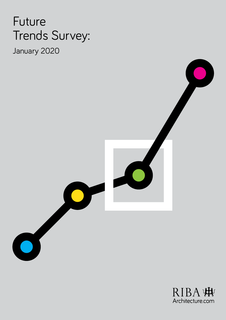# Future Trends Survey:

January 2020



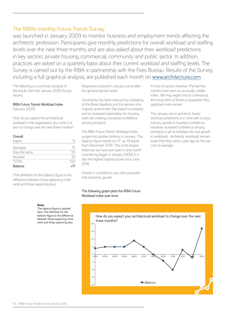## The RIBA's monthly Future Trends Survey

was launched in January 2009 to monitor business and employment trends affecting the architects' profession. Participants give monthly predictions for overall workload and staffing levels over the next three months, and are also asked about their workload predictions in key sectors: private housing, commercial, community and public sector. In addition, practices are asked on a quarterly basis about their current workload and staffing levels. The Survey is carried out by the RIBA in partnership with the Fees Bureau. Results of the Survey, including a full graphical analysis, are published each month on [www.architecture.com](http://www.architecture.com)

The following is a summary analysis of the results from the January 2020 Survey returns.

## RIBA Future Trends Workload Index

(January 2020)

How do you expect the architectural workload in the organisation you work in or own to change over the next three months?

| Overall       |     |
|---------------|-----|
| Expect        |     |
| Decrease      | 15  |
| Stay the same | ςζ  |
| Increase      |     |
| TOTAI         |     |
| Balance       | ⊥17 |

(The definition for the balance figure is the difference between those expecting more work and those expecting less.)

Responses received in January came after the general election result.

Uncertainty has been reduced by a breaking of the Brexit deadlock and the election of a majority government. Decreased uncertainty and an increased expectation for housing work are creating a renewed confidence among architects.

The RIBA Future Trends Workload Index surged into positive territory in January. The balance figure stands at +17, up 19 points from December 2019. This is the largest Index rise we have ever seen in one month (monitoring began in January 2009). It is also the highest balance score since June 2018.

Growth in confidence very often precedes real economic growth.

### The following graph plots the RIBA Future Workload index over time:

A note of caution, however. The last few months have seen an unusually volatile Index. We may expect this to continue as the future form of Brexit is negotiated. Very significant risks remain.

The January rise in architects' future workload predictions is in tune with a crossindustry growth in business confidence. However, increased confidence among architects is yet to translate into real growth in workloads. Architects' workloads remain lower than they were a year ago, by five per cent on average.

#### **Notes**

The balance figure is plotted here. The definition for the balance figure is the difference between those expecting more work and those expecting less.

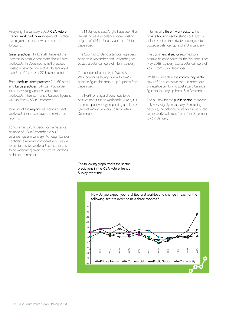Analysing the January 2020 RIBA Future Trends Workload Index in terms of practice size, region and sector we can see the following:

Small practices (1 - 10 staff) have led the increase in positive sentiment about future workloads. In December small practices posted a balance figure of -6. In January it stands at +14, a rise of 20 balance points.

Both Medium-sized practices (11 - 50 staff) and Large practices (51+ staff) continue to be increasingly positive about future workloads. Their combined balance figure is +47, up from + 38 in December.

In terms of the **regions**, all regions expect workloads to increase over the next three months.

London has sprung back from a negative balance of -18 in December to a +2 balance figure in January. Although London confidence remains comparatively weak, a return to positive workload expectations is to be welcomed, given the size of London's architecture market.

The Midlands & East Anglia have seen the largest increase in balance score, posting a figure of +24 in January, up from -13 in December.

The South of England, after posting a zero balance in November and December has posted a balance figure of +15 in January.

The outlook of practices in Wales & the West continues to improve, with a +25 balance figure this month, up 11 points from December.

The North of England continues to be positive about future workloads. Again, it is the most positive region, posting a balance figure of +26 in January, up from +14 in December.

In terms of different work sectors, the private housing sector stands out. Up 16 balance points, the private housing sector posted a balance figure of +18 in January.

The **commercial sector** returned to a positive balance figure for the first time since May 2019. January saw a balance figure of +3, up from -5 in December.

Whilst still negative, the community sector saw its fifth successive rise. It climbed out of negative territory to post a zero balance figure in January, up from -3 in December.

The outlook for the **public sector** improved only very slightly in January. Remaining negative, the balance figure for future public sector workloads rose from -4 in December to -3 in January.

The following graph tracks the sector predictions in the RIBA Future Trends Survey over time: